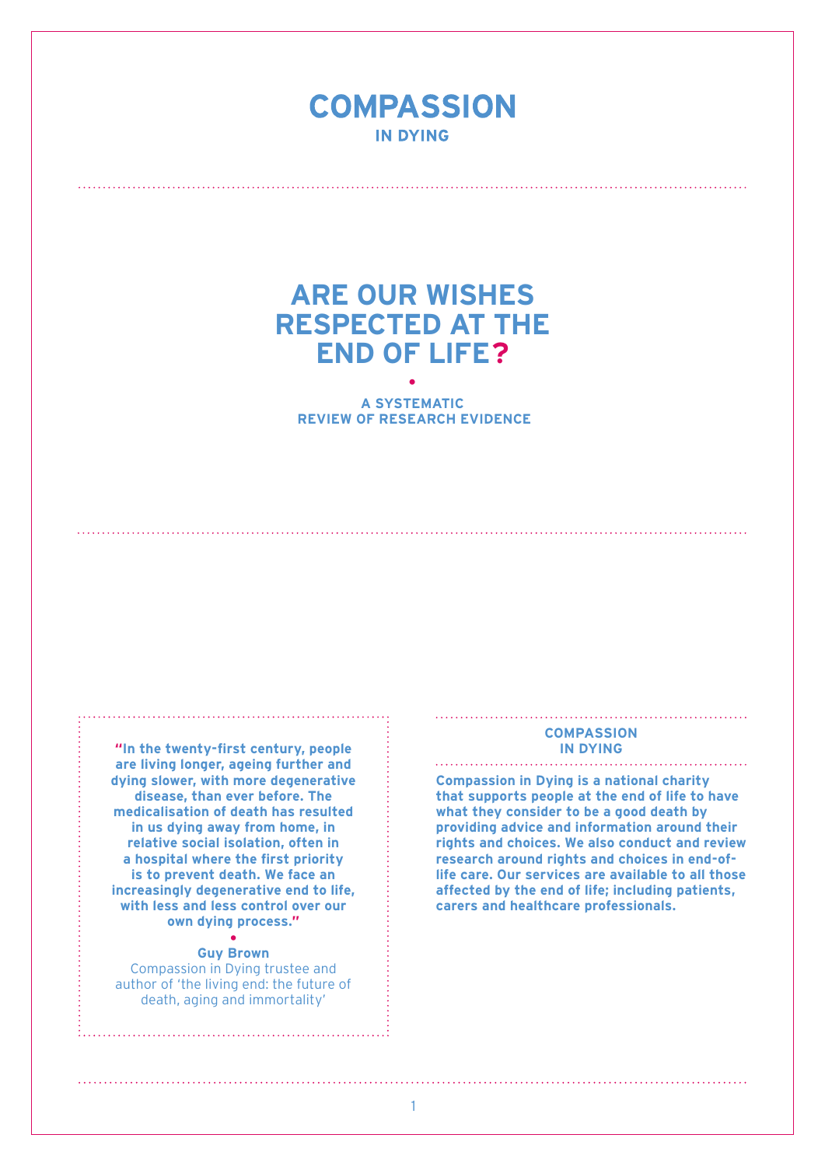## **COMPASSION IN DYING**

# **Are our wishes respected at the end of life? · A systematic**

 **review of research evidence**

**"In the twenty-first century, people are living longer, ageing further and dying slower, with more degenerative disease, than ever before. The medicalisation of death has resulted in us dying away from home, in relative social isolation, often in a hospital where the first priority is to prevent death. We face an increasingly degenerative end to life, with less and less control over our own dying process."**

#### **• Guy Brown**

Compassion in Dying trustee and author of 'the living end: the future of death, aging and immortality'

### **COMPASSION IN DYING**

**Compassion in Dying is a national charity that supports people at the end of life to have what they consider to be a good death by providing advice and information around their rights and choices. We also conduct and review research around rights and choices in end-oflife care. Our services are available to all those affected by the end of life; including patients, carers and healthcare professionals.** 

1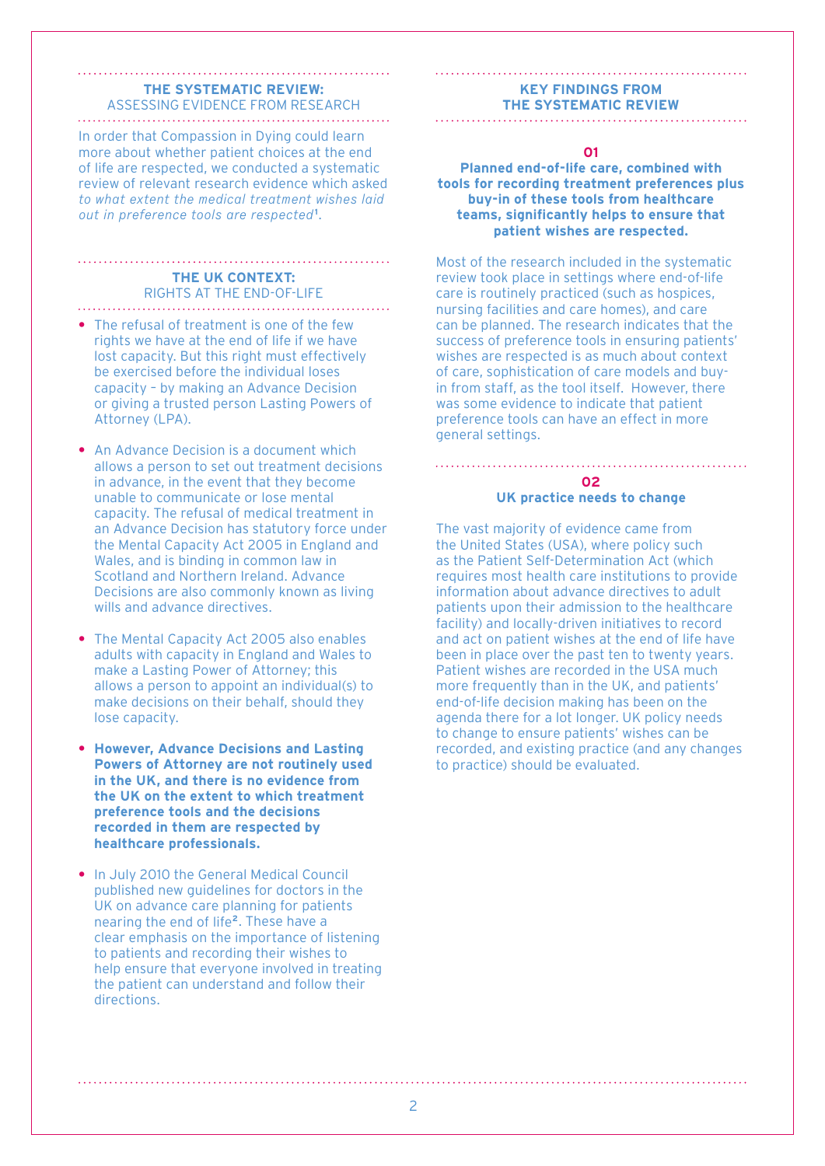#### **The systematic review:**  Assessing evidence from research

In order that Compassion in Dying could learn more about whether patient choices at the end of life are respected, we conducted a systematic review of relevant research evidence which asked to what extent the medical treatment wishes laid out in preference tools are respected**<sup>1</sup>** .

#### **The UK context:**  Rights at the end-of-life

- **•** The refusal of treatment is one of the few rights we have at the end of life if we have lost capacity. But this right must effectively be exercised before the individual loses capacity – by making an Advance Decision or giving a trusted person Lasting Powers of Attorney (LPA).
- **•** An Advance Decision is a document which allows a person to set out treatment decisions in advance, in the event that they become unable to communicate or lose mental capacity. The refusal of medical treatment in an Advance Decision has statutory force under the Mental Capacity Act 2005 in England and Wales, and is binding in common law in Scotland and Northern Ireland. Advance Decisions are also commonly known as living wills and advance directives.
- **•** The Mental Capacity Act 2005 also enables adults with capacity in England and Wales to make a Lasting Power of Attorney; this allows a person to appoint an individual(s) to make decisions on their behalf, should they lose capacity.
- **• However, Advance Decisions and Lasting Powers of Attorney are not routinely used in the UK, and there is no evidence from the UK on the extent to which treatment preference tools and the decisions recorded in them are respected by healthcare professionals.**
- **•** In July 2010 the General Medical Council published new guidelines for doctors in the UK on advance care planning for patients nearing the end of life**2**. These have a clear emphasis on the importance of listening to patients and recording their wishes to help ensure that everyone involved in treating the patient can understand and follow their directions.

#### **Key findings from the systematic review**

#### **01**

#### **Planned end-of-life care, combined with tools for recording treatment preferences plus buy-in of these tools from healthcare teams, significantly helps to ensure that patient wishes are respected.**

Most of the research included in the systematic review took place in settings where end-of-life care is routinely practiced (such as hospices, nursing facilities and care homes), and care can be planned. The research indicates that the success of preference tools in ensuring patients' wishes are respected is as much about context of care, sophistication of care models and buyin from staff, as the tool itself. However, there was some evidence to indicate that patient preference tools can have an effect in more general settings.

#### **02 UK practice needs to change**

The vast majority of evidence came from the United States (USA), where policy such as the Patient Self-Determination Act (which requires most health care institutions to provide information about advance directives to adult patients upon their admission to the healthcare facility) and locally-driven initiatives to record and act on patient wishes at the end of life have been in place over the past ten to twenty years. Patient wishes are recorded in the USA much more frequently than in the UK, and patients' end-of-life decision making has been on the agenda there for a lot longer. UK policy needs to change to ensure patients' wishes can be recorded, and existing practice (and any changes to practice) should be evaluated.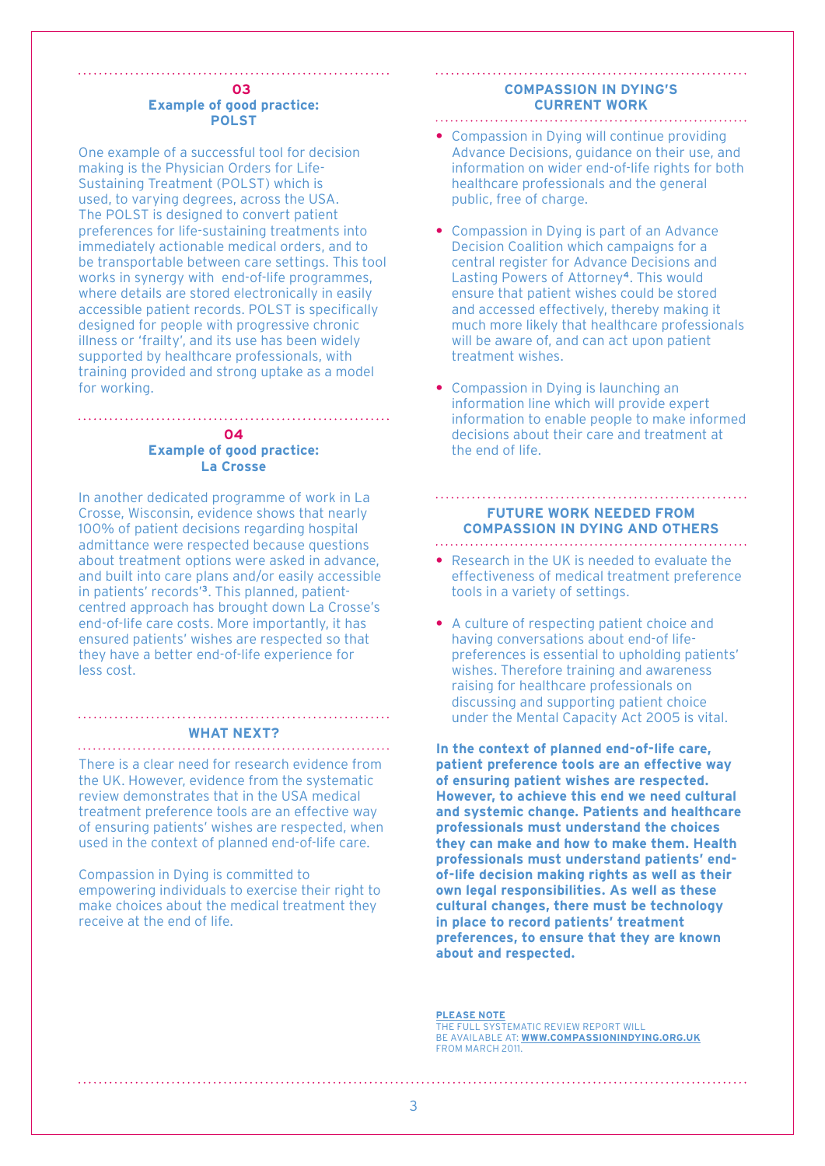#### **03 Example of good practice: Polst**

One example of a successful tool for decision making is the Physician Orders for Life-Sustaining Treatment (POLST) which is used, to varying degrees, across the USA. The POLST is designed to convert patient preferences for life-sustaining treatments into immediately actionable medical orders, and to be transportable between care settings. This tool works in synergy with end-of-life programmes, where details are stored electronically in easily accessible patient records. POLST is specifically designed for people with progressive chronic illness or 'frailty', and its use has been widely supported by healthcare professionals, with training provided and strong uptake as a model for working.

#### **04 Example of good practice: La Crosse**

In another dedicated programme of work in La Crosse, Wisconsin, evidence shows that nearly 100% of patient decisions regarding hospital admittance were respected because questions about treatment options were asked in advance, and built into care plans and/or easily accessible in patients' records'**3**. This planned, patientcentred approach has brought down La Crosse's end-of-life care costs. More importantly, it has ensured patients' wishes are respected so that they have a better end-of-life experience for less cost.

#### **What next?**

There is a clear need for research evidence from the UK. However, evidence from the systematic review demonstrates that in the USA medical treatment preference tools are an effective way of ensuring patients' wishes are respected, when used in the context of planned end-of-life care.

Compassion in Dying is committed to empowering individuals to exercise their right to make choices about the medical treatment they receive at the end of life.

#### **COMPASSION IN DYING'S CURRENT work**

- Compassion in Dying will continue providing Advance Decisions, guidance on their use, and information on wider end-of-life rights for both healthcare professionals and the general public, free of charge.
- Compassion in Dying is part of an Advance Decision Coalition which campaigns for a central register for Advance Decisions and Lasting Powers of Attorney**4**. This would ensure that patient wishes could be stored and accessed effectively, thereby making it much more likely that healthcare professionals will be aware of, and can act upon patient treatment wishes.
- **•** Compassion in Dying is launching an information line which will provide expert information to enable people to make informed decisions about their care and treatment at the end of life.

## **Future work needed from Compassion in Dying and others**

- **•** Research in the UK is needed to evaluate the effectiveness of medical treatment preference tools in a variety of settings.
- A culture of respecting patient choice and having conversations about end-of lifepreferences is essential to upholding patients' wishes. Therefore training and awareness raising for healthcare professionals on discussing and supporting patient choice under the Mental Capacity Act 2005 is vital.

**In the context of planned end-of-life care, patient preference tools are an effective way of ensuring patient wishes are respected. However, to achieve this end we need cultural and systemic change. Patients and healthcare professionals must understand the choices they can make and how to make them. Health professionals must understand patients' endof-life decision making rights as well as their own legal responsibilities. As well as these cultural changes, there must be technology in place to record patients' treatment preferences, to ensure that they are known about and respected.**

#### **PLEASE NOTE**

The full systematic review report will be available at: **www.compassionindying.org.uk** FROM March 2011.